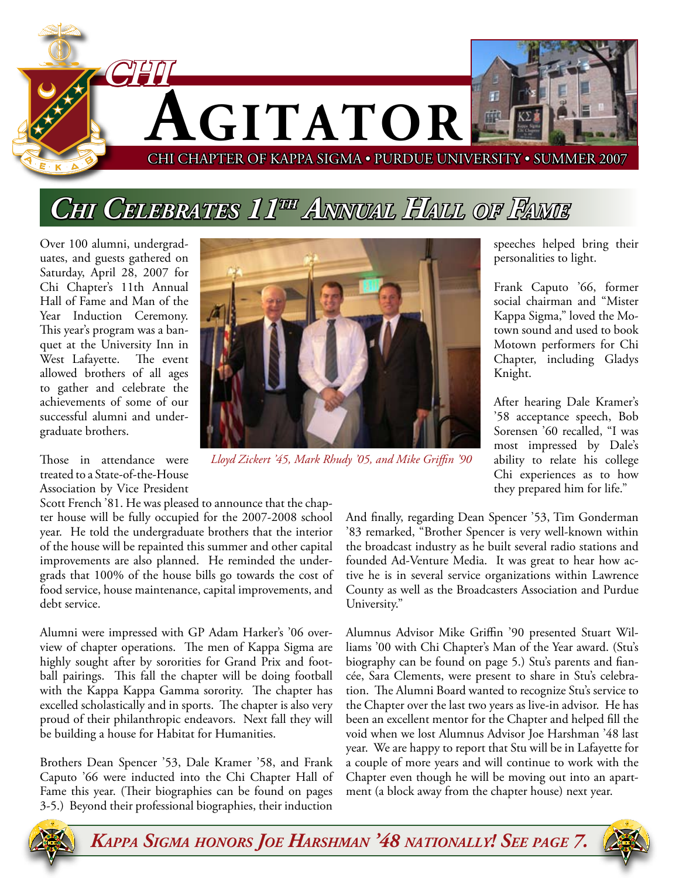

# *Chi Celebrates 11th Annual Hall of Fame*

Over 100 alumni, undergraduates, and guests gathered on Saturday, April 28, 2007 for Chi Chapter's 11th Annual Hall of Fame and Man of the Year Induction Ceremony. This year's program was a banquet at the University Inn in West Lafayette. The event allowed brothers of all ages to gather and celebrate the achievements of some of our successful alumni and undergraduate brothers.



*Lloyd Zickert '45, Mark Rhudy '05, and Mike Griffin '90*

Those in attendance were treated to a State-of-the-House Association by Vice President

Scott French '81. He was pleased to announce that the chapter house will be fully occupied for the 2007-2008 school year. He told the undergraduate brothers that the interior of the house will be repainted this summer and other capital improvements are also planned. He reminded the undergrads that 100% of the house bills go towards the cost of food service, house maintenance, capital improvements, and debt service.

Alumni were impressed with GP Adam Harker's '06 overview of chapter operations. The men of Kappa Sigma are highly sought after by sororities for Grand Prix and football pairings. This fall the chapter will be doing football with the Kappa Kappa Gamma sorority. The chapter has excelled scholastically and in sports. The chapter is also very proud of their philanthropic endeavors. Next fall they will be building a house for Habitat for Humanities.

Brothers Dean Spencer '53, Dale Kramer '58, and Frank Caputo '66 were inducted into the Chi Chapter Hall of Fame this year. (Their biographies can be found on pages 3-5.) Beyond their professional biographies, their induction

speeches helped bring their personalities to light.

Frank Caputo '66, former social chairman and "Mister Kappa Sigma," loved the Motown sound and used to book Motown performers for Chi Chapter, including Gladys Knight.

After hearing Dale Kramer's '58 acceptance speech, Bob Sorensen '60 recalled, "I was most impressed by Dale's ability to relate his college Chi experiences as to how they prepared him for life."

And finally, regarding Dean Spencer '53, Tim Gonderman '83 remarked, "Brother Spencer is very well-known within the broadcast industry as he built several radio stations and founded Ad-Venture Media. It was great to hear how active he is in several service organizations within Lawrence County as well as the Broadcasters Association and Purdue University."

Alumnus Advisor Mike Griffin '90 presented Stuart Williams '00 with Chi Chapter's Man of the Year award. (Stu's biography can be found on page 5.) Stu's parents and fiancée, Sara Clements, were present to share in Stu's celebration. The Alumni Board wanted to recognize Stu's service to the Chapter over the last two years as live-in advisor. He has been an excellent mentor for the Chapter and helped fill the void when we lost Alumnus Advisor Joe Harshman '48 last year. We are happy to report that Stu will be in Lafayette for a couple of more years and will continue to work with the Chapter even though he will be moving out into an apartment (a block away from the chapter house) next year.



*Kappa Sigma honors Joe Harshman '48 nationally! See page 7.*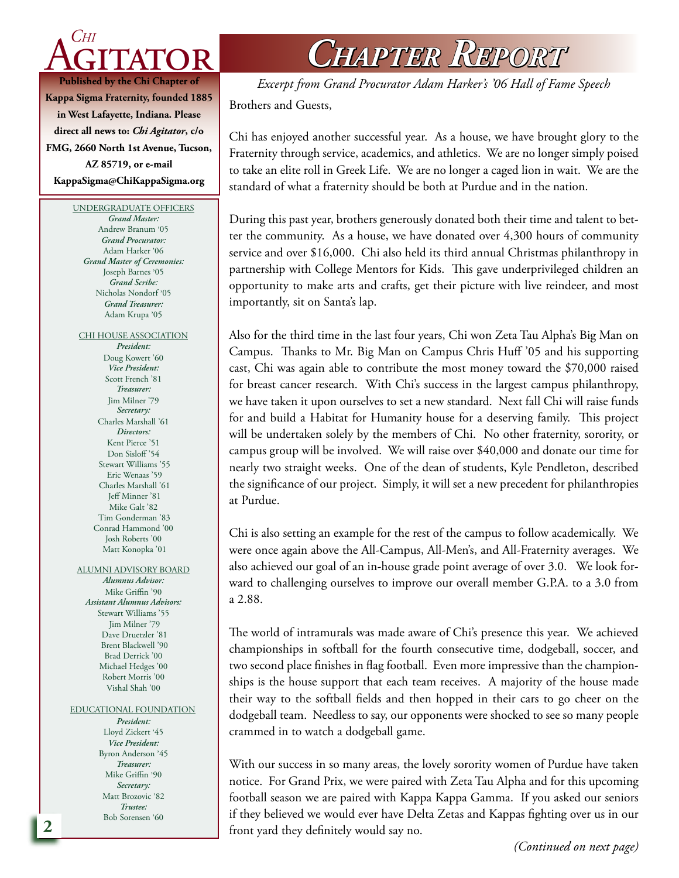

**Kappa Sigma Fraternity, founded 1885 in West Lafayette, Indiana. Please direct all news to:** *Chi Agitator***, c/o FMG, 2660 North 1st Avenue, Tucson, AZ 85719, or e-mail KappaSigma@ChiKappaSigma.org**

#### UNDERGRADUATE OFFICERS

*Grand Master:* Andrew Branum '05 *Grand Procurator:* Adam Harker '06 *Grand Master of Ceremonies:* Joseph Barnes '05 *Grand Scribe:* Nicholas Nondorf '05 *Grand Treasurer:* Adam Krupa '05

CHI HOUSE ASSOCIATION *President:*

Doug Kowert '60 *Vice President:* Scott French '81 *Treasurer:* Jim Milner '79 *Secretary:* Charles Marshall '61 *Directors:* Kent Pierce '51 Don Sisloff<sup>'54</sup> Stewart Williams '55 Eric Wenaas '59 Charles Marshall '61 Jeff Minner '81 Mike Galt '82 Tim Gonderman '83 Conrad Hammond '00 Josh Roberts '00 Matt Konopka '01

ALUMNI ADVISORY BOARD *Alumnus Advisor:*

Mike Griffin '90 *Assistant Alumnus Advisors:* Stewart Williams '55 Jim Milner '79 Dave Druetzler '81 Brent Blackwell '90 Brad Derrick '00 Michael Hedges '00 Robert Morris '00 Vishal Shah '00

#### EDUCATIONAL FOUNDATION

*President:* Lloyd Zickert '45 *Vice President:* Byron Anderson '45 *Treasurer:* Mike Griffin '90 *Secretary:* Matt Brozovic '82 *Trustee:* Bob Sorensen '60

*Chapter Report*

Brothers and Guests, *Excerpt from Grand Procurator Adam Harker's '06 Hall of Fame Speech*

Chi has enjoyed another successful year. As a house, we have brought glory to the Fraternity through service, academics, and athletics. We are no longer simply poised to take an elite roll in Greek Life. We are no longer a caged lion in wait. We are the standard of what a fraternity should be both at Purdue and in the nation.

During this past year, brothers generously donated both their time and talent to better the community. As a house, we have donated over 4,300 hours of community service and over \$16,000. Chi also held its third annual Christmas philanthropy in partnership with College Mentors for Kids. This gave underprivileged children an opportunity to make arts and crafts, get their picture with live reindeer, and most importantly, sit on Santa's lap.

Also for the third time in the last four years, Chi won Zeta Tau Alpha's Big Man on Campus. Thanks to Mr. Big Man on Campus Chris Huff '05 and his supporting cast, Chi was again able to contribute the most money toward the \$70,000 raised for breast cancer research. With Chi's success in the largest campus philanthropy, we have taken it upon ourselves to set a new standard. Next fall Chi will raise funds for and build a Habitat for Humanity house for a deserving family. This project will be undertaken solely by the members of Chi. No other fraternity, sorority, or campus group will be involved. We will raise over \$40,000 and donate our time for nearly two straight weeks. One of the dean of students, Kyle Pendleton, described the significance of our project. Simply, it will set a new precedent for philanthropies at Purdue.

Chi is also setting an example for the rest of the campus to follow academically. We were once again above the All-Campus, All-Men's, and All-Fraternity averages. We also achieved our goal of an in-house grade point average of over 3.0. We look forward to challenging ourselves to improve our overall member G.P.A. to a 3.0 from a 2.88.

The world of intramurals was made aware of Chi's presence this year. We achieved championships in softball for the fourth consecutive time, dodgeball, soccer, and two second place finishes in flag football. Even more impressive than the championships is the house support that each team receives. A majority of the house made their way to the softball fields and then hopped in their cars to go cheer on the dodgeball team. Needless to say, our opponents were shocked to see so many people crammed in to watch a dodgeball game.

With our success in so many areas, the lovely sorority women of Purdue have taken notice. For Grand Prix, we were paired with Zeta Tau Alpha and for this upcoming football season we are paired with Kappa Kappa Gamma. If you asked our seniors if they believed we would ever have Delta Zetas and Kappas fighting over us in our front yard they definitely would say no.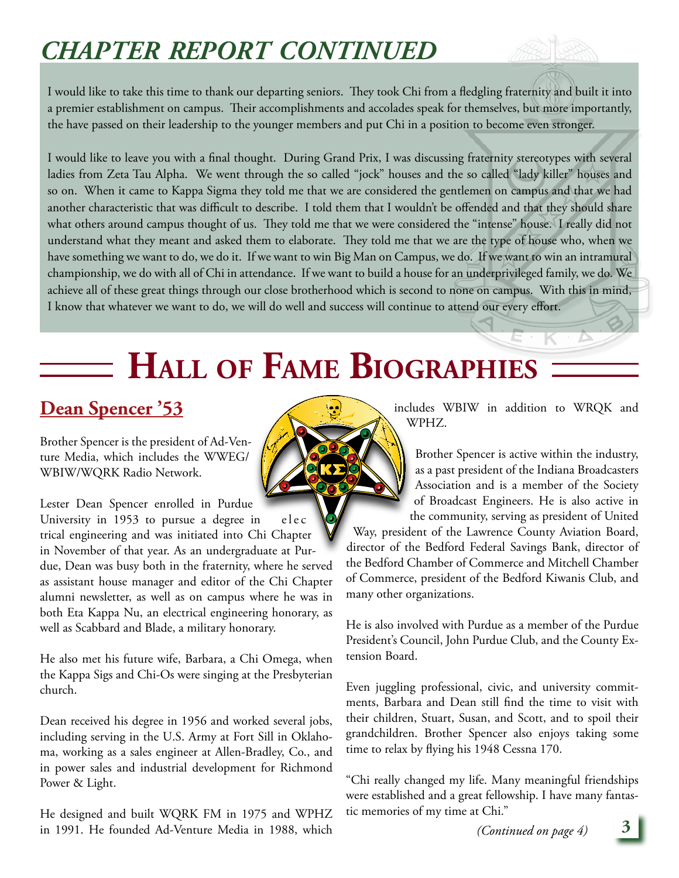# *chapter report continued*

I would like to take this time to thank our departing seniors. They took Chi from a fledgling fraternity and built it into a premier establishment on campus. Their accomplishments and accolades speak for themselves, but more importantly, the have passed on their leadership to the younger members and put Chi in a position to become even stronger.

I would like to leave you with a final thought. During Grand Prix, I was discussing fraternity stereotypes with several ladies from Zeta Tau Alpha. We went through the so called "jock" houses and the so called "lady killer" houses and so on. When it came to Kappa Sigma they told me that we are considered the gentlemen on campus and that we had another characteristic that was difficult to describe. I told them that I wouldn't be offended and that they should share what others around campus thought of us. They told me that we were considered the "intense" house. I really did not understand what they meant and asked them to elaborate. They told me that we are the type of house who, when we have something we want to do, we do it. If we want to win Big Man on Campus, we do. If we want to win an intramural championship, we do with all of Chi in attendance. If we want to build a house for an underprivileged family, we do. We achieve all of these great things through our close brotherhood which is second to none on campus. With this in mind, I know that whatever we want to do, we will do well and success will continue to attend our every effort.

# **Hall of Fame Biographies**

### **Dean Spencer '53**

Brother Spencer is the president of Ad-Venture Media, which includes the WWEG/ WBIW/WQRK Radio Network.

Lester Dean Spencer enrolled in Purdue University in  $1953$  to pursue a degree in elec trical engineering and was initiated into Chi Chapter in November of that year. As an undergraduate at Purdue, Dean was busy both in the fraternity, where he served as assistant house manager and editor of the Chi Chapter alumni newsletter, as well as on campus where he was in both Eta Kappa Nu, an electrical engineering honorary, as well as Scabbard and Blade, a military honorary.

He also met his future wife, Barbara, a Chi Omega, when the Kappa Sigs and Chi-Os were singing at the Presbyterian church.

Dean received his degree in 1956 and worked several jobs, including serving in the U.S. Army at Fort Sill in Oklahoma, working as a sales engineer at Allen-Bradley, Co., and in power sales and industrial development for Richmond Power & Light.

He designed and built WQRK FM in 1975 and WPHZ in 1991. He founded Ad-Venture Media in 1988, which

includes WBIW in addition to WRQK and WPHZ.

Brother Spencer is active within the industry, as a past president of the Indiana Broadcasters Association and is a member of the Society of Broadcast Engineers. He is also active in the community, serving as president of United

Way, president of the Lawrence County Aviation Board, director of the Bedford Federal Savings Bank, director of the Bedford Chamber of Commerce and Mitchell Chamber of Commerce, president of the Bedford Kiwanis Club, and many other organizations.

He is also involved with Purdue as a member of the Purdue President's Council, John Purdue Club, and the County Extension Board.

Even juggling professional, civic, and university commitments, Barbara and Dean still find the time to visit with their children, Stuart, Susan, and Scott, and to spoil their grandchildren. Brother Spencer also enjoys taking some time to relax by flying his 1948 Cessna 170.

"Chi really changed my life. Many meaningful friendships were established and a great fellowship. I have many fantastic memories of my time at Chi."

*(Continued on page 4)* **3**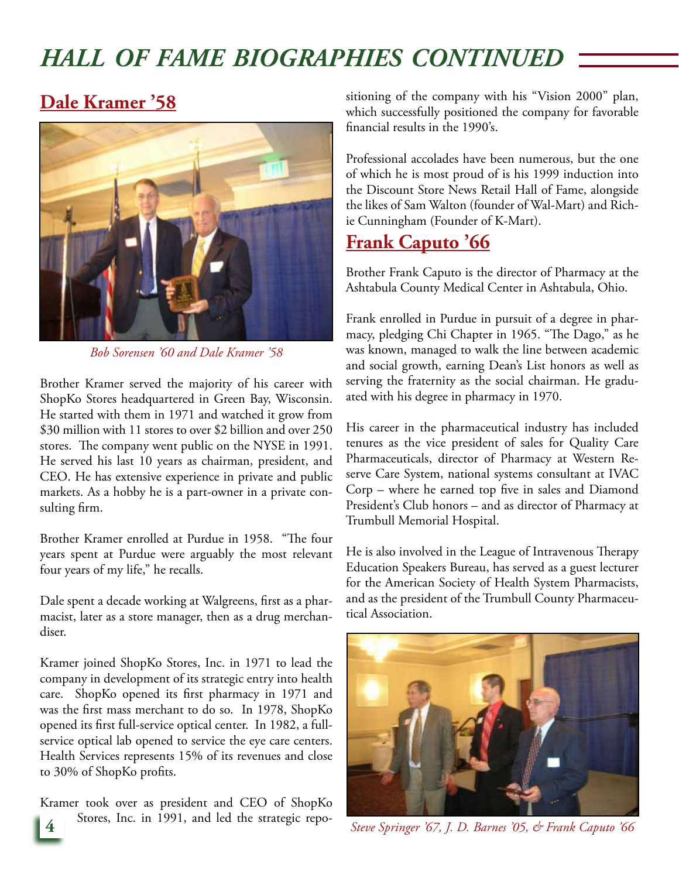## *hall of fame biographies continued*

#### **Dale Kramer '58**



*Bob Sorensen '60 and Dale Kramer '58*

Brother Kramer served the majority of his career with ShopKo Stores headquartered in Green Bay, Wisconsin. He started with them in 1971 and watched it grow from \$30 million with 11 stores to over \$2 billion and over 250 stores. The company went public on the NYSE in 1991. He served his last 10 years as chairman, president, and CEO. He has extensive experience in private and public markets. As a hobby he is a part-owner in a private consulting firm.

Brother Kramer enrolled at Purdue in 1958. "The four years spent at Purdue were arguably the most relevant four years of my life," he recalls.

Dale spent a decade working at Walgreens, first as a pharmacist, later as a store manager, then as a drug merchandiser.

Kramer joined ShopKo Stores, Inc. in 1971 to lead the company in development of its strategic entry into health care. ShopKo opened its first pharmacy in 1971 and was the first mass merchant to do so. In 1978, ShopKo opened its first full-service optical center. In 1982, a fullservice optical lab opened to service the eye care centers. Health Services represents 15% of its revenues and close to 30% of ShopKo profits.

Kramer took over as president and CEO of ShopKo Stores, Inc. in 1991, and led the strategic repositioning of the company with his "Vision 2000" plan, which successfully positioned the company for favorable financial results in the 1990's.

Professional accolades have been numerous, but the one of which he is most proud of is his 1999 induction into the Discount Store News Retail Hall of Fame, alongside the likes of Sam Walton (founder of Wal-Mart) and Richie Cunningham (Founder of K-Mart).

#### **Frank Caputo '66**

Brother Frank Caputo is the director of Pharmacy at the Ashtabula County Medical Center in Ashtabula, Ohio.

Frank enrolled in Purdue in pursuit of a degree in pharmacy, pledging Chi Chapter in 1965. "The Dago," as he was known, managed to walk the line between academic and social growth, earning Dean's List honors as well as serving the fraternity as the social chairman. He graduated with his degree in pharmacy in 1970.

His career in the pharmaceutical industry has included tenures as the vice president of sales for Quality Care Pharmaceuticals, director of Pharmacy at Western Reserve Care System, national systems consultant at IVAC Corp – where he earned top five in sales and Diamond President's Club honors – and as director of Pharmacy at Trumbull Memorial Hospital.

He is also involved in the League of Intravenous Therapy Education Speakers Bureau, has served as a guest lecturer for the American Society of Health System Pharmacists, and as the president of the Trumbull County Pharmaceutical Association.



**4** *Steve Springer '67, J. D. Barnes '05, & Frank Caputo '66*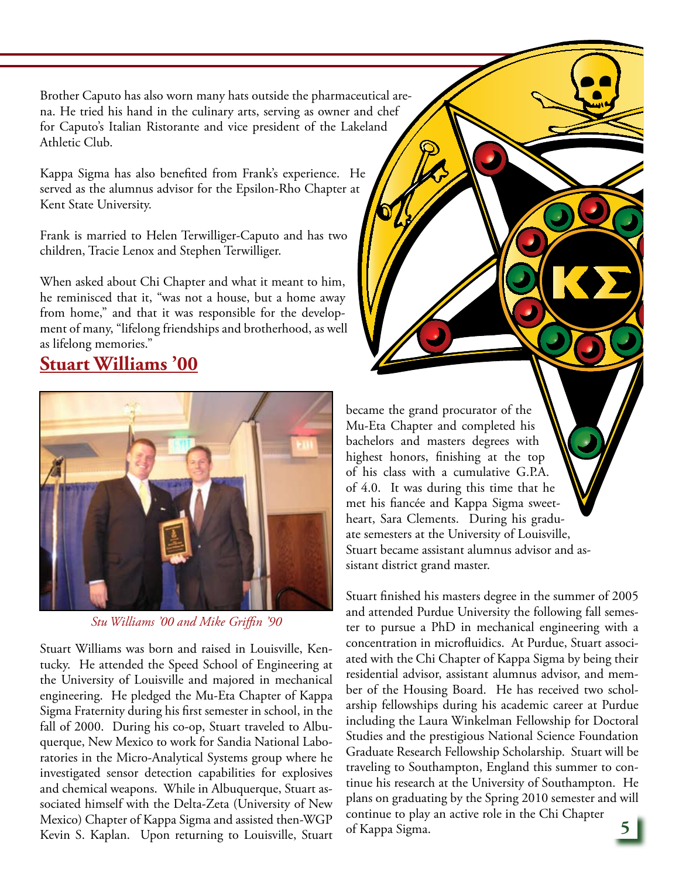Brother Caputo has also worn many hats outside the pharmaceutical arena. He tried his hand in the culinary arts, serving as owner and chef for Caputo's Italian Ristorante and vice president of the Lakeland Athletic Club.

Kappa Sigma has also benefited from Frank's experience. He served as the alumnus advisor for the Epsilon-Rho Chapter at Kent State University.

Frank is married to Helen Terwilliger-Caputo and has two children, Tracie Lenox and Stephen Terwilliger.

When asked about Chi Chapter and what it meant to him, he reminisced that it, "was not a house, but a home away from home," and that it was responsible for the development of many, "lifelong friendships and brotherhood, as well as lifelong memories."

#### **Stuart Williams '00**



*Stu Williams '00 and Mike Griffin '90*

Stuart Williams was born and raised in Louisville, Kentucky. He attended the Speed School of Engineering at the University of Louisville and majored in mechanical engineering. He pledged the Mu-Eta Chapter of Kappa Sigma Fraternity during his first semester in school, in the fall of 2000. During his co-op, Stuart traveled to Albuquerque, New Mexico to work for Sandia National Laboratories in the Micro-Analytical Systems group where he investigated sensor detection capabilities for explosives and chemical weapons. While in Albuquerque, Stuart associated himself with the Delta-Zeta (University of New Mexico) Chapter of Kappa Sigma and assisted then-WGP Kevin S. Kaplan. Upon returning to Louisville, Stuart became the grand procurator of the Mu-Eta Chapter and completed his bachelors and masters degrees with highest honors, finishing at the top of his class with a cumulative G.P.A. of 4.0. It was during this time that he met his fiancée and Kappa Sigma sweetheart, Sara Clements. During his graduate semesters at the University of Louisville, Stuart became assistant alumnus advisor and assistant district grand master.

Stuart finished his masters degree in the summer of 2005 and attended Purdue University the following fall semester to pursue a PhD in mechanical engineering with a concentration in microfluidics. At Purdue, Stuart associated with the Chi Chapter of Kappa Sigma by being their residential advisor, assistant alumnus advisor, and member of the Housing Board. He has received two scholarship fellowships during his academic career at Purdue including the Laura Winkelman Fellowship for Doctoral Studies and the prestigious National Science Foundation Graduate Research Fellowship Scholarship. Stuart will be traveling to Southampton, England this summer to continue his research at the University of Southampton. He plans on graduating by the Spring 2010 semester and will continue to play an active role in the Chi Chapter of Kappa Sigma.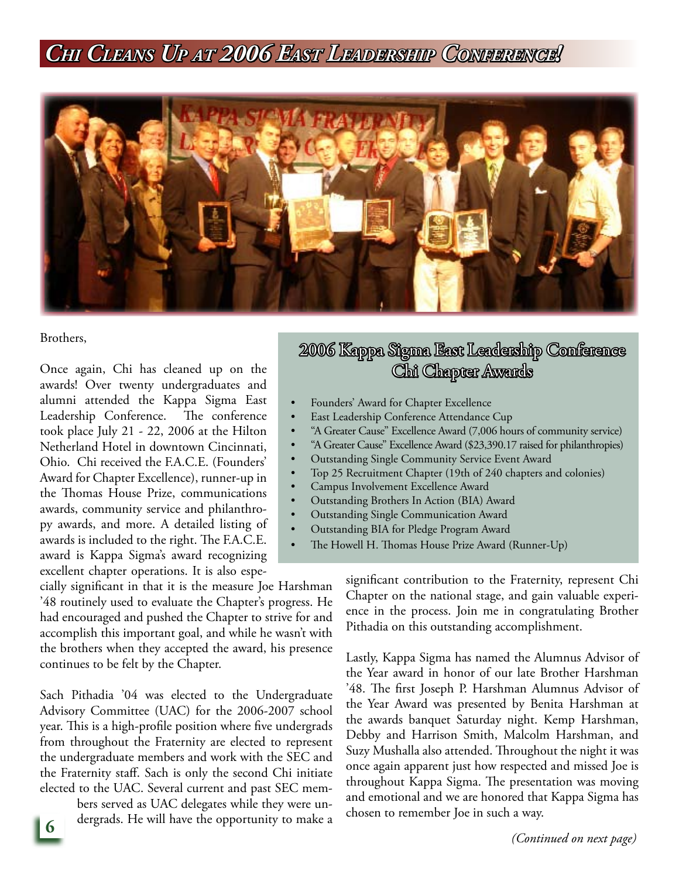## *Chi Cleans Up at 2006 East Leadership Conference!*

•

• •



Brothers,

Once again, Chi has cleaned up on the awards! Over twenty undergraduates and alumni attended the Kappa Sigma East Leadership Conference. The conference took place July 21 - 22, 2006 at the Hilton Netherland Hotel in downtown Cincinnati, Ohio. Chi received the F.A.C.E. (Founders' Award for Chapter Excellence), runner-up in the Thomas House Prize, communications awards, community service and philanthropy awards, and more. A detailed listing of awards is included to the right. The F.A.C.E. award is Kappa Sigma's award recognizing excellent chapter operations. It is also espe-

cially significant in that it is the measure Joe Harshman '48 routinely used to evaluate the Chapter's progress. He had encouraged and pushed the Chapter to strive for and accomplish this important goal, and while he wasn't with the brothers when they accepted the award, his presence continues to be felt by the Chapter.

Sach Pithadia '04 was elected to the Undergraduate Advisory Committee (UAC) for the 2006-2007 school year. This is a high-profile position where five undergrads from throughout the Fraternity are elected to represent the undergraduate members and work with the SEC and the Fraternity staff. Sach is only the second Chi initiate elected to the UAC. Several current and past SEC mem-

> bers served as UAC delegates while they were undergrads. He will have the opportunity to make a

#### 2006 Kappa Sigma East Leadership Conference Chi Chapter Awards

- Founders' Award for Chapter Excellence •
- East Leadership Conference Attendance Cup •
- "A Greater Cause" Excellence Award (7,006 hours of community service) •
- "A Greater Cause" Excellence Award (\$23,390.17 raised for philanthropies) •
- Outstanding Single Community Service Event Award •
	- Top 25 Recruitment Chapter (19th of 240 chapters and colonies)
- Campus Involvement Excellence Award •
- Outstanding Brothers In Action (BIA) Award •
- Outstanding Single Communication Award •
- Outstanding BIA for Pledge Program Award
- The Howell H. Thomas House Prize Award (Runner-Up)

significant contribution to the Fraternity, represent Chi Chapter on the national stage, and gain valuable experience in the process. Join me in congratulating Brother Pithadia on this outstanding accomplishment.

Lastly, Kappa Sigma has named the Alumnus Advisor of the Year award in honor of our late Brother Harshman '48. The first Joseph P. Harshman Alumnus Advisor of the Year Award was presented by Benita Harshman at the awards banquet Saturday night. Kemp Harshman, Debby and Harrison Smith, Malcolm Harshman, and Suzy Mushalla also attended. Throughout the night it was once again apparent just how respected and missed Joe is throughout Kappa Sigma. The presentation was moving and emotional and we are honored that Kappa Sigma has chosen to remember Joe in such a way.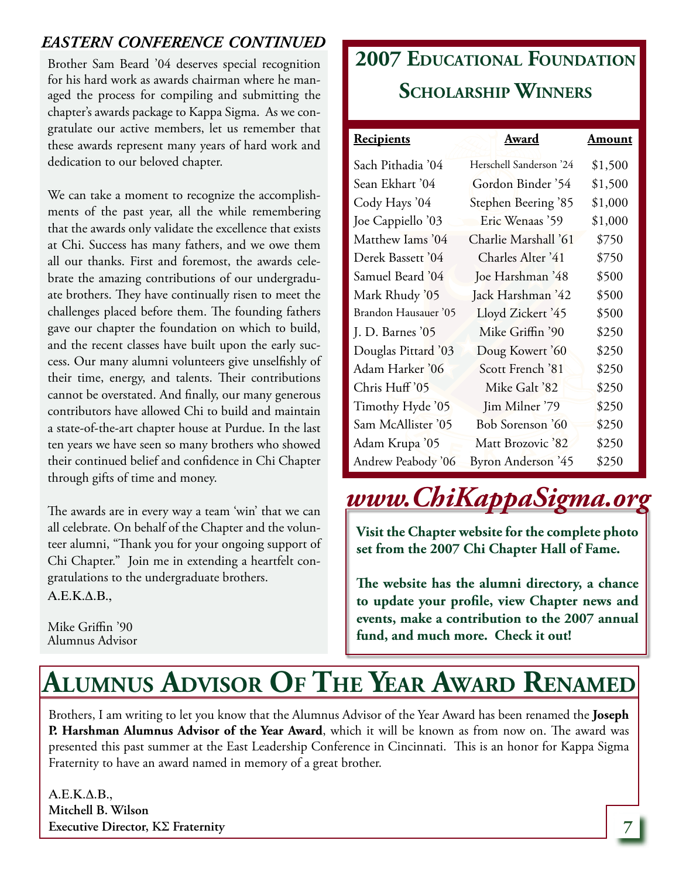#### *eastern conference continued*

Brother Sam Beard '04 deserves special recognition for his hard work as awards chairman where he managed the process for compiling and submitting the chapter's awards package to Kappa Sigma. As we congratulate our active members, let us remember that these awards represent many years of hard work and dedication to our beloved chapter.

We can take a moment to recognize the accomplishments of the past year, all the while remembering that the awards only validate the excellence that exists at Chi. Success has many fathers, and we owe them all our thanks. First and foremost, the awards celebrate the amazing contributions of our undergraduate brothers. They have continually risen to meet the challenges placed before them. The founding fathers gave our chapter the foundation on which to build, and the recent classes have built upon the early success. Our many alumni volunteers give unselfishly of their time, energy, and talents. Their contributions cannot be overstated. And finally, our many generous contributors have allowed Chi to build and maintain a state-of-the-art chapter house at Purdue. In the last ten years we have seen so many brothers who showed their continued belief and confidence in Chi Chapter through gifts of time and money.

The awards are in every way a team 'win' that we can all celebrate. On behalf of the Chapter and the volunteer alumni, "Thank you for your ongoing support of Chi Chapter." Join me in extending a heartfelt congratulations to the undergraduate brothers.  $A.E.K.\Delta.B.,$ 

Mike Griffin '90 Alumnus Advisor

# **2007 Educational Foundation Scholarship Winners**

| <b>Recipients</b>    | Award                      | Amount  |
|----------------------|----------------------------|---------|
| Sach Pithadia '04    | Herschell Sanderson '24    | \$1,500 |
| Sean Ekhart '04      | Gordon Binder '54          | \$1,500 |
| Cody Hays '04        | <b>Stephen Beering '85</b> | \$1,000 |
| Joe Cappiello '03    | Eric Wenaas '59            | \$1,000 |
| Matthew Iams '04     | Charlie Marshall '61       | \$750   |
| Derek Bassett '04    | Charles Alter '41          | \$750   |
| Samuel Beard '04     | Joe Harshman '48           | \$500   |
| Mark Rhudy '05       | Jack Harshman '42          | \$500   |
| Brandon Hausauer '05 | Lloyd Zickert '45          | \$500   |
| J. D. Barnes $05$    | Mike Griffin '90           | \$250   |
| Douglas Pittard '03  | Doug Kowert '60            | \$250   |
| Adam Harker '06      | Scott French '81           | \$250   |
| Chris Huff'05        | Mike Galt '82              | \$250   |
| Timothy Hyde '05     | Jim Milner '79             | \$250   |
| Sam McAllister '05   | Bob Sorenson '60           | \$250   |
| Adam Krupa '05       | Matt Brozovic '82          | \$250   |
| Andrew Peabody '06   | <b>Byron Anderson</b> '45  | \$250   |

# *www.ChiKappaSigma.org*

**Visit the Chapter website for the complete photo set from the 2007 Chi Chapter Hall of Fame.** 

**The website has the alumni directory, a chance to update your profile, view Chapter news and events, make a contribution to the 2007 annual fund, and much more. Check it out!**

# **Alumnus Advisor Of The Year Award Renamed**

Brothers, I am writing to let you know that the Alumnus Advisor of the Year Award has been renamed the **Joseph P. Harshman Alumnus Advisor of the Year Award**, which it will be known as from now on. The award was presented this past summer at the East Leadership Conference in Cincinnati. This is an honor for Kappa Sigma Fraternity to have an award named in memory of a great brother.

 $A.E.K.\Delta.B.,$ **Mitchell B. Wilson Executive Director,** KS **Fraternity**